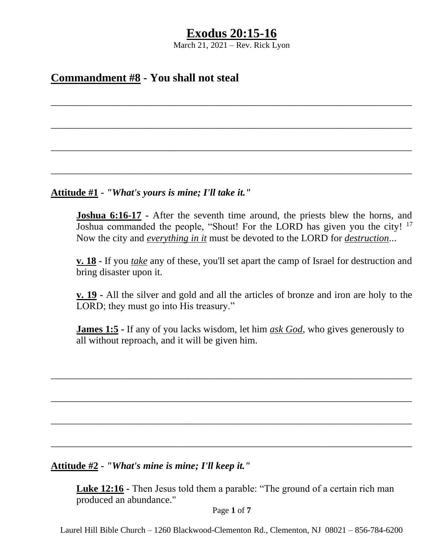March 21, 2021 – Rev. Rick Lyon

\_\_\_\_\_\_\_\_\_\_\_\_\_\_\_\_\_\_\_\_\_\_\_\_\_\_\_\_\_\_\_\_\_\_\_\_\_\_\_\_\_\_\_\_\_\_\_\_\_\_\_\_\_\_\_\_\_\_\_\_\_\_\_\_\_\_\_\_\_\_\_\_\_

\_\_\_\_\_\_\_\_\_\_\_\_\_\_\_\_\_\_\_\_\_\_\_\_\_\_\_\_\_\_\_\_\_\_\_\_\_\_\_\_\_\_\_\_\_\_\_\_\_\_\_\_\_\_\_\_\_\_\_\_\_\_\_\_\_\_\_\_\_\_\_\_\_

\_\_\_\_\_\_\_\_\_\_\_\_\_\_\_\_\_\_\_\_\_\_\_\_\_\_\_\_\_\_\_\_\_\_\_\_\_\_\_\_\_\_\_\_\_\_\_\_\_\_\_\_\_\_\_\_\_\_\_\_\_\_\_\_\_\_\_\_\_\_\_\_\_

\_\_\_\_\_\_\_\_\_\_\_\_\_\_\_\_\_\_\_\_\_\_\_\_\_\_\_\_\_\_\_\_\_\_\_\_\_\_\_\_\_\_\_\_\_\_\_\_\_\_\_\_\_\_\_\_\_\_\_\_\_\_\_\_\_\_\_\_\_\_\_\_\_

# **Commandment #8 - You shall not steal**

**Attitude #1 -** *"What's yours is mine; I'll take it."*

**Joshua 6:16-17 -** After the seventh time around, the priests blew the horns, and Joshua commanded the people, "Shout! For the LORD has given you the city! <sup>17</sup> Now the city and *everything in it* must be devoted to the LORD for *destruction*...

**v. 18 -** If you *take* any of these, you'll set apart the camp of Israel for destruction and bring disaster upon it.

**v. 19 -** All the silver and gold and all the articles of bronze and iron are holy to the LORD; they must go into His treasury."

**James 1:5 -** If any of you lacks wisdom, let him *ask God*, who gives generously to all without reproach, and it will be given him.

\_\_\_\_\_\_\_\_\_\_\_\_\_\_\_\_\_\_\_\_\_\_\_\_\_\_\_\_\_\_\_\_\_\_\_\_\_\_\_\_\_\_\_\_\_\_\_\_\_\_\_\_\_\_\_\_\_\_\_\_\_\_\_\_\_\_\_\_\_\_\_\_\_

\_\_\_\_\_\_\_\_\_\_\_\_\_\_\_\_\_\_\_\_\_\_\_\_\_\_\_\_\_\_\_\_\_\_\_\_\_\_\_\_\_\_\_\_\_\_\_\_\_\_\_\_\_\_\_\_\_\_\_\_\_\_\_\_\_\_\_\_\_\_\_\_\_

\_\_\_\_\_\_\_\_\_\_\_\_\_\_\_\_\_\_\_\_\_\_\_\_\_\_\_\_\_\_\_\_\_\_\_\_\_\_\_\_\_\_\_\_\_\_\_\_\_\_\_\_\_\_\_\_\_\_\_\_\_\_\_\_\_\_\_\_\_\_\_\_\_

\_\_\_\_\_\_\_\_\_\_\_\_\_\_\_\_\_\_\_\_\_\_\_\_\_\_\_\_\_\_\_\_\_\_\_\_\_\_\_\_\_\_\_\_\_\_\_\_\_\_\_\_\_\_\_\_\_\_\_\_\_\_\_\_\_\_\_\_\_\_\_\_\_

# **Attitude #2 -** *"What's mine is mine; I'll keep it."*

**Luke 12:16 -** Then Jesus told them a parable: "The ground of a certain rich man produced an abundance."

Page **1** of **7**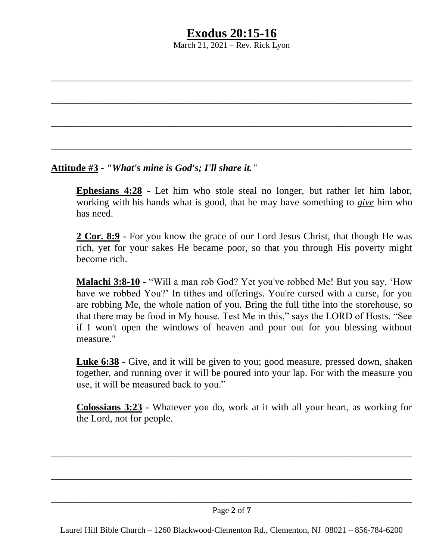March 21, 2021 – Rev. Rick Lyon

\_\_\_\_\_\_\_\_\_\_\_\_\_\_\_\_\_\_\_\_\_\_\_\_\_\_\_\_\_\_\_\_\_\_\_\_\_\_\_\_\_\_\_\_\_\_\_\_\_\_\_\_\_\_\_\_\_\_\_\_\_\_\_\_\_\_\_\_\_\_\_\_\_

\_\_\_\_\_\_\_\_\_\_\_\_\_\_\_\_\_\_\_\_\_\_\_\_\_\_\_\_\_\_\_\_\_\_\_\_\_\_\_\_\_\_\_\_\_\_\_\_\_\_\_\_\_\_\_\_\_\_\_\_\_\_\_\_\_\_\_\_\_\_\_\_\_

\_\_\_\_\_\_\_\_\_\_\_\_\_\_\_\_\_\_\_\_\_\_\_\_\_\_\_\_\_\_\_\_\_\_\_\_\_\_\_\_\_\_\_\_\_\_\_\_\_\_\_\_\_\_\_\_\_\_\_\_\_\_\_\_\_\_\_\_\_\_\_\_\_

\_\_\_\_\_\_\_\_\_\_\_\_\_\_\_\_\_\_\_\_\_\_\_\_\_\_\_\_\_\_\_\_\_\_\_\_\_\_\_\_\_\_\_\_\_\_\_\_\_\_\_\_\_\_\_\_\_\_\_\_\_\_\_\_\_\_\_\_\_\_\_\_\_

# **Attitude #3 -** *"What's mine is God's; I'll share it."*

**Ephesians 4:28 -** Let him who stole steal no longer, but rather let him labor, working with his hands what is good, that he may have something to *give* him who has need.

**2 Cor. 8:9 -** For you know the grace of our Lord Jesus Christ, that though He was rich, yet for your sakes He became poor, so that you through His poverty might become rich.

**Malachi 3:8-10 -** "Will a man rob God? Yet you've robbed Me! But you say, 'How have we robbed You?' In tithes and offerings. You're cursed with a curse, for you are robbing Me, the whole nation of you. Bring the full tithe into the storehouse, so that there may be food in My house. Test Me in this," says the LORD of Hosts. "See if I won't open the windows of heaven and pour out for you blessing without measure."

**Luke 6:38 -** Give, and it will be given to you; good measure, pressed down, shaken together, and running over it will be poured into your lap. For with the measure you use, it will be measured back to you."

**Colossians 3:23 -** Whatever you do, work at it with all your heart, as working for the Lord, not for people.

\_\_\_\_\_\_\_\_\_\_\_\_\_\_\_\_\_\_\_\_\_\_\_\_\_\_\_\_\_\_\_\_\_\_\_\_\_\_\_\_\_\_\_\_\_\_\_\_\_\_\_\_\_\_\_\_\_\_\_\_\_\_\_\_\_\_\_\_\_\_\_\_\_

\_\_\_\_\_\_\_\_\_\_\_\_\_\_\_\_\_\_\_\_\_\_\_\_\_\_\_\_\_\_\_\_\_\_\_\_\_\_\_\_\_\_\_\_\_\_\_\_\_\_\_\_\_\_\_\_\_\_\_\_\_\_\_\_\_\_\_\_\_\_\_\_\_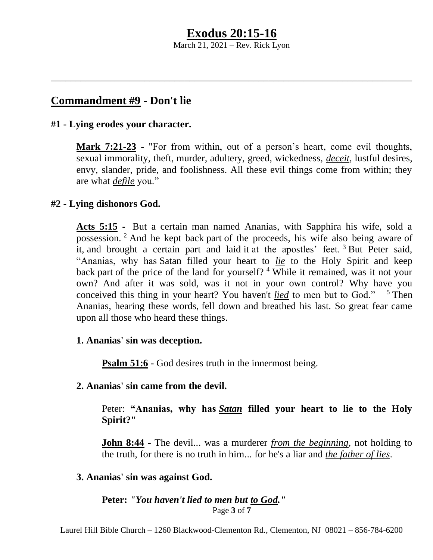March 21, 2021 – Rev. Rick Lyon

\_\_\_\_\_\_\_\_\_\_\_\_\_\_\_\_\_\_\_\_\_\_\_\_\_\_\_\_\_\_\_\_\_\_\_\_\_\_\_\_\_\_\_\_\_\_\_\_\_\_\_\_\_\_\_\_\_\_\_\_\_\_\_\_\_\_\_\_\_\_\_\_\_

# **Commandment #9 - Don't lie**

### **#1 - Lying erodes your character.**

**Mark 7:21-23 -** "For from within, out of a person's heart, come evil thoughts, sexual immorality, theft, murder, adultery, greed, wickedness, *deceit*, lustful desires, envy, slander, pride, and foolishness. All these evil things come from within; they are what *defile* you."

## **#2 - Lying dishonors God.**

**Acts 5:15 -** But a certain man named Ananias, with Sapphira his wife, sold a possession. <sup>2</sup> And he kept back part of the proceeds, his wife also being aware of it, and brought a certain part and laid it at the apostles' feet.  $3$  But Peter said, "Ananias, why has Satan filled your heart to *lie* to the Holy Spirit and keep back part of the price of the land for yourself? <sup>4</sup> While it remained, was it not your own? And after it was sold, was it not in your own control? Why have you conceived this thing in your heart? You haven't *lied* to men but to God." <sup>5</sup> Then Ananias, hearing these words, fell down and breathed his last. So great fear came upon all those who heard these things.

### **1. Ananias' sin was deception.**

**Psalm 51:6 -** God desires truth in the innermost being.

### **2. Ananias' sin came from the devil.**

Peter: **"Ananias, why has** *Satan* **filled your heart to lie to the Holy Spirit?"**

**John 8:44 -** The devil... was a murderer *from the beginning*, not holding to the truth, for there is no truth in him... for he's a liar and *the father of lies*.

## **3. Ananias' sin was against God.**

#### Page **3** of **7 Peter:** *"You haven't lied to men but to God."*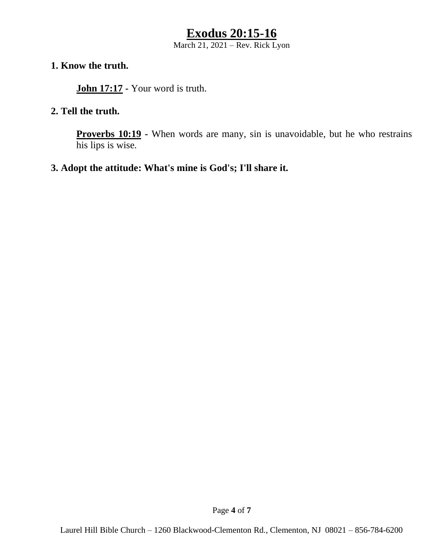March 21, 2021 – Rev. Rick Lyon

## **1. Know the truth.**

**John 17:17 -** Your word is truth.

### **2. Tell the truth.**

**Proverbs 10:19 -** When words are many, sin is unavoidable, but he who restrains his lips is wise.

### **3. Adopt the attitude: What's mine is God's; I'll share it.**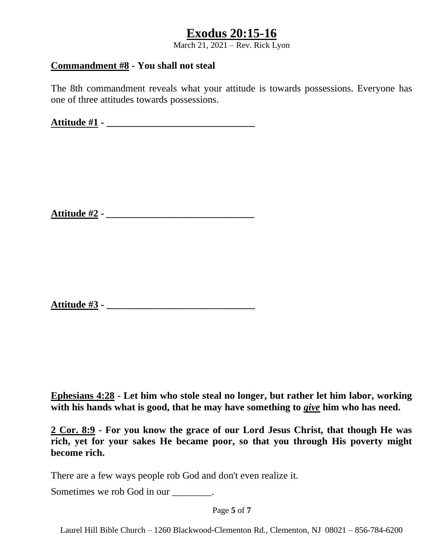March 21, 2021 – Rev. Rick Lyon

### **Commandment #8 - You shall not steal**

The 8th commandment reveals what your attitude is towards possessions. Everyone has one of three attitudes towards possessions.

**Attitude #1 - \_\_\_\_\_\_\_\_\_\_\_\_\_\_\_\_\_\_\_\_\_\_\_\_\_\_\_\_\_\_**

**Attitude #2 -** *\_\_\_\_\_\_\_\_\_\_\_\_\_\_\_\_\_\_\_\_\_\_\_\_\_\_\_\_\_\_*

**Attitude #3 - \_\_\_\_\_\_\_\_\_\_\_\_\_\_\_\_\_\_\_\_\_\_\_\_\_\_\_\_\_\_**

**Ephesians 4:28 - Let him who stole steal no longer, but rather let him labor, working with his hands what is good, that he may have something to** *give* **him who has need.**

**2 Cor. 8:9 - For you know the grace of our Lord Jesus Christ, that though He was rich, yet for your sakes He became poor, so that you through His poverty might become rich.**

There are a few ways people rob God and don't even realize it.

Sometimes we rob God in our  $\qquad \qquad$ .

Page **5** of **7**

Laurel Hill Bible Church – 1260 Blackwood-Clementon Rd., Clementon, NJ 08021 – 856-784-6200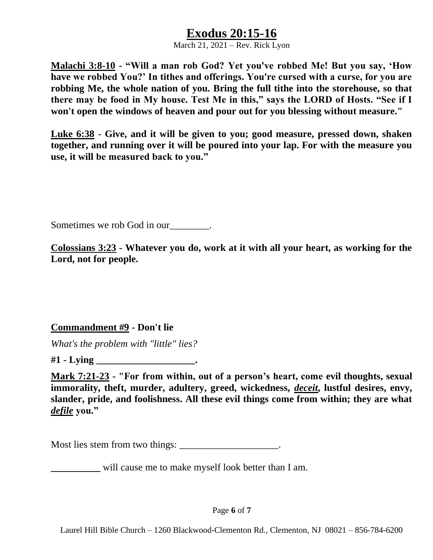March 21, 2021 – Rev. Rick Lyon

**Malachi 3:8-10 - "Will a man rob God? Yet you've robbed Me! But you say, 'How have we robbed You?' In tithes and offerings. You're cursed with a curse, for you are robbing Me, the whole nation of you. Bring the full tithe into the storehouse, so that there may be food in My house. Test Me in this," says the LORD of Hosts. "See if I won't open the windows of heaven and pour out for you blessing without measure."**

**Luke 6:38 - Give, and it will be given to you; good measure, pressed down, shaken together, and running over it will be poured into your lap. For with the measure you use, it will be measured back to you."**

Sometimes we rob God in our .

**Colossians 3:23 - Whatever you do, work at it with all your heart, as working for the Lord, not for people.**

## **Commandment #9 - Don't lie**

*What's the problem with "little" lies?*

**#1 - Lying \_\_\_\_\_\_\_\_\_\_\_\_\_\_\_\_\_\_\_\_.**

**Mark 7:21-23 - "For from within, out of a person's heart, come evil thoughts, sexual immorality, theft, murder, adultery, greed, wickedness,** *deceit***, lustful desires, envy, slander, pride, and foolishness. All these evil things come from within; they are what**  *defile* **you."**

Most lies stem from two things: \_\_\_\_\_\_\_\_\_\_\_\_\_\_\_\_\_\_\_\_.

will cause me to make myself look better than I am.

Page **6** of **7**